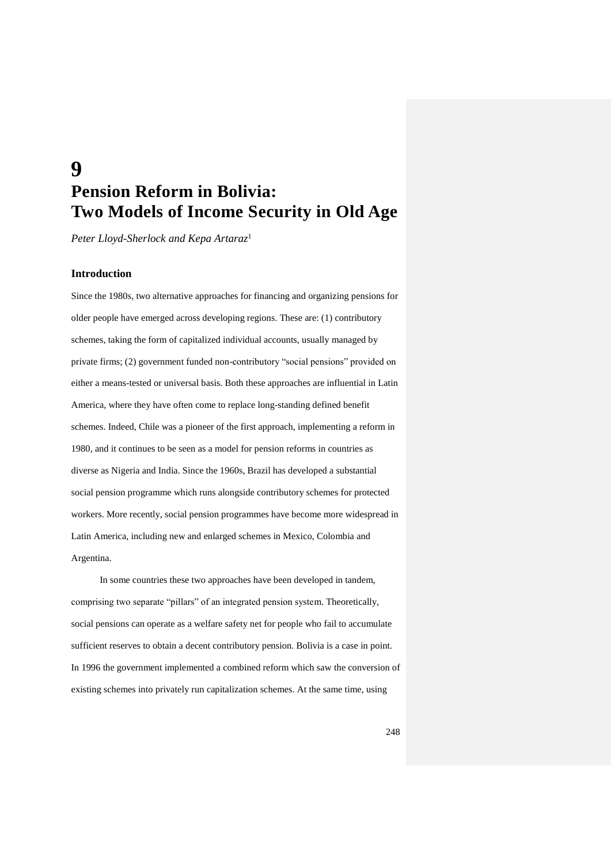# **9 Pension Reform in Bolivia: Two Models of Income Security in Old Age**

*Peter Lloyd-Sherlock and Kepa Artaraz*<sup>1</sup>

### **Introduction**

Since the 1980s, two alternative approaches for financing and organizing pensions for older people have emerged across developing regions. These are: (1) contributory schemes, taking the form of capitalized individual accounts, usually managed by private firms; (2) government funded non-contributory "social pensions" provided on either a means-tested or universal basis. Both these approaches are influential in Latin America, where they have often come to replace long-standing defined benefit schemes. Indeed, Chile was a pioneer of the first approach, implementing a reform in 1980, and it continues to be seen as a model for pension reforms in countries as diverse as Nigeria and India. Since the 1960s, Brazil has developed a substantial social pension programme which runs alongside contributory schemes for protected workers. More recently, social pension programmes have become more widespread in Latin America, including new and enlarged schemes in Mexico, Colombia and Argentina.

In some countries these two approaches have been developed in tandem, comprising two separate "pillars" of an integrated pension system. Theoretically, social pensions can operate as a welfare safety net for people who fail to accumulate sufficient reserves to obtain a decent contributory pension. Bolivia is a case in point. In 1996 the government implemented a combined reform which saw the conversion of existing schemes into privately run capitalization schemes. At the same time, using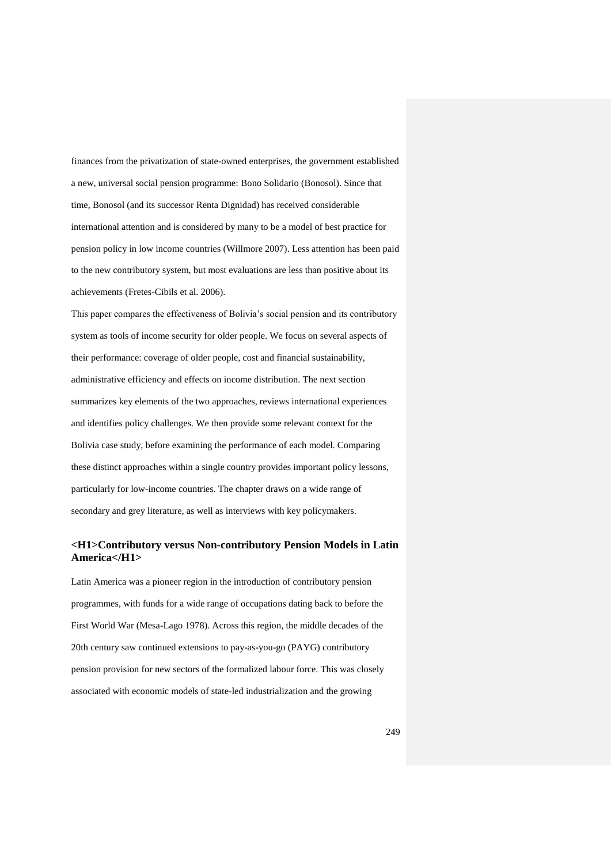finances from the privatization of state-owned enterprises, the government established a new, universal social pension programme: Bono Solidario (Bonosol). Since that time, Bonosol (and its successor Renta Dignidad) has received considerable international attention and is considered by many to be a model of best practice for pension policy in low income countries (Willmore 2007). Less attention has been paid to the new contributory system, but most evaluations are less than positive about its achievements (Fretes-Cibils et al. 2006).

This paper compares the effectiveness of Bolivia's social pension and its contributory system as tools of income security for older people. We focus on several aspects of their performance: coverage of older people, cost and financial sustainability, administrative efficiency and effects on income distribution. The next section summarizes key elements of the two approaches, reviews international experiences and identifies policy challenges. We then provide some relevant context for the Bolivia case study, before examining the performance of each model. Comparing these distinct approaches within a single country provides important policy lessons, particularly for low-income countries. The chapter draws on a wide range of secondary and grey literature, as well as interviews with key policymakers.

## **<H1>Contributory versus Non-contributory Pension Models in Latin America</H1>**

Latin America was a pioneer region in the introduction of contributory pension programmes, with funds for a wide range of occupations dating back to before the First World War (Mesa-Lago 1978). Across this region, the middle decades of the 20th century saw continued extensions to pay-as-you-go (PAYG) contributory pension provision for new sectors of the formalized labour force. This was closely associated with economic models of state-led industrialization and the growing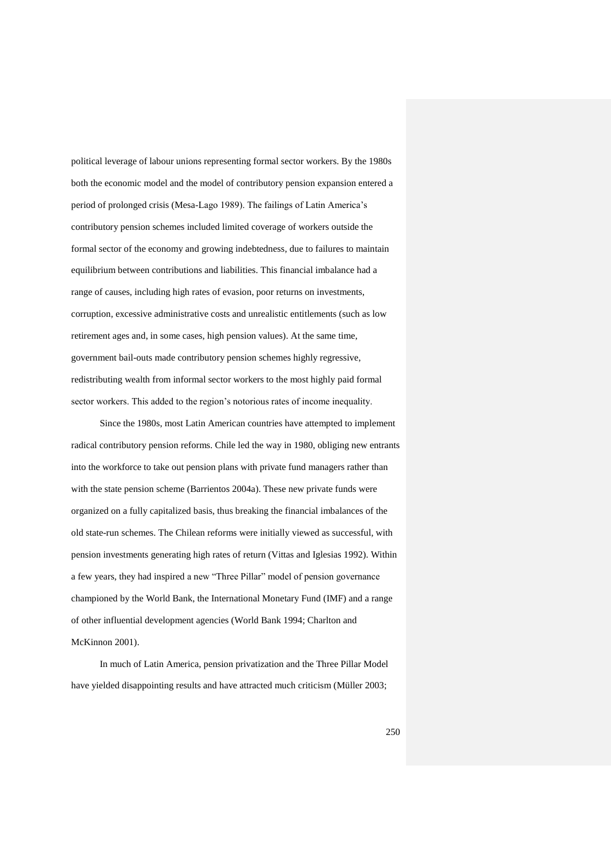political leverage of labour unions representing formal sector workers. By the 1980s both the economic model and the model of contributory pension expansion entered a period of prolonged crisis (Mesa-Lago 1989). The failings of Latin America's contributory pension schemes included limited coverage of workers outside the formal sector of the economy and growing indebtedness, due to failures to maintain equilibrium between contributions and liabilities. This financial imbalance had a range of causes, including high rates of evasion, poor returns on investments, corruption, excessive administrative costs and unrealistic entitlements (such as low retirement ages and, in some cases, high pension values). At the same time, government bail-outs made contributory pension schemes highly regressive, redistributing wealth from informal sector workers to the most highly paid formal sector workers. This added to the region's notorious rates of income inequality.

Since the 1980s, most Latin American countries have attempted to implement radical contributory pension reforms. Chile led the way in 1980, obliging new entrants into the workforce to take out pension plans with private fund managers rather than with the state pension scheme (Barrientos 2004a). These new private funds were organized on a fully capitalized basis, thus breaking the financial imbalances of the old state-run schemes. The Chilean reforms were initially viewed as successful, with pension investments generating high rates of return (Vittas and Iglesias 1992). Within a few years, they had inspired a new "Three Pillar" model of pension governance championed by the World Bank, the International Monetary Fund (IMF) and a range of other influential development agencies (World Bank 1994; Charlton and McKinnon 2001).

In much of Latin America, pension privatization and the Three Pillar Model have yielded disappointing results and have attracted much criticism (Müller 2003;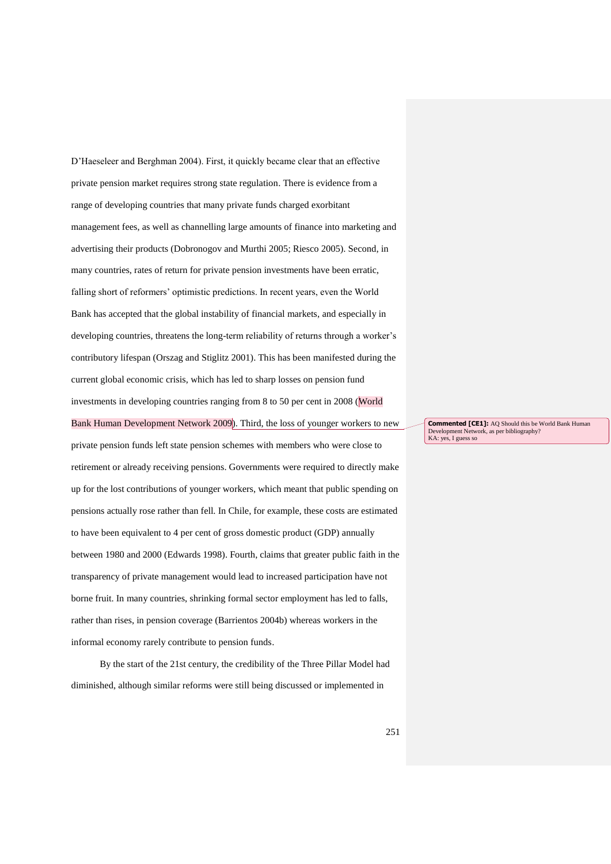D'Haeseleer and Berghman 2004). First, it quickly became clear that an effective private pension market requires strong state regulation. There is evidence from a range of developing countries that many private funds charged exorbitant management fees, as well as channelling large amounts of finance into marketing and advertising their products (Dobronogov and Murthi 2005; Riesco 2005). Second, in many countries, rates of return for private pension investments have been erratic, falling short of reformers' optimistic predictions. In recent years, even the World Bank has accepted that the global instability of financial markets, and especially in developing countries, threatens the long-term reliability of returns through a worker's contributory lifespan (Orszag and Stiglitz 2001). This has been manifested during the current global economic crisis, which has led to sharp losses on pension fund investments in developing countries ranging from 8 to 50 per cent in 2008 (World Bank Human Development Network 2009). Third, the loss of younger workers to new private pension funds left state pension schemes with members who were close to

retirement or already receiving pensions. Governments were required to directly make up for the lost contributions of younger workers, which meant that public spending on pensions actually rose rather than fell. In Chile, for example, these costs are estimated to have been equivalent to 4 per cent of gross domestic product (GDP) annually between 1980 and 2000 (Edwards 1998). Fourth, claims that greater public faith in the transparency of private management would lead to increased participation have not borne fruit. In many countries, shrinking formal sector employment has led to falls, rather than rises, in pension coverage (Barrientos 2004b) whereas workers in the informal economy rarely contribute to pension funds.

By the start of the 21st century, the credibility of the Three Pillar Model had diminished, although similar reforms were still being discussed or implemented in

**Commented [CE1]:** AQ Should this be World Bank Human Development Network, as per bibliography? KA: yes, I guess so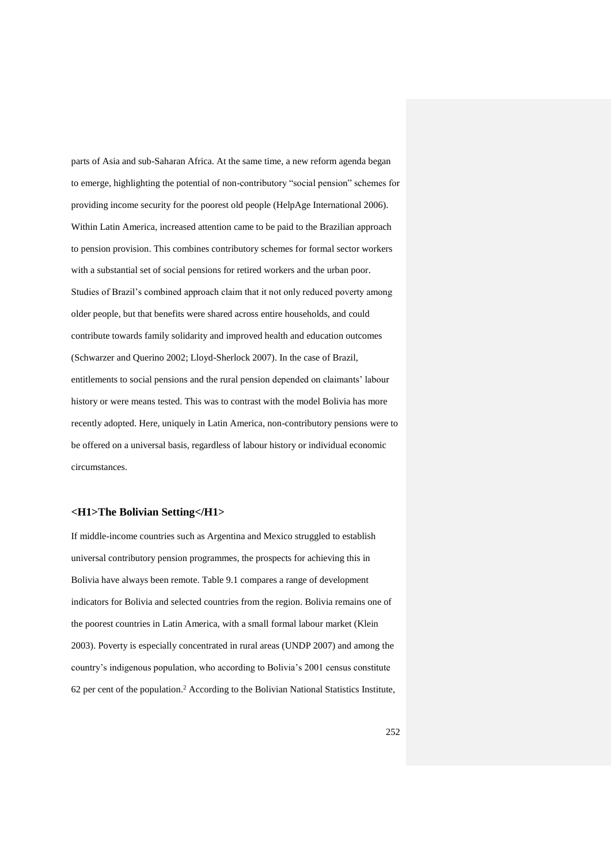parts of Asia and sub-Saharan Africa. At the same time, a new reform agenda began to emerge, highlighting the potential of non-contributory "social pension" schemes for providing income security for the poorest old people (HelpAge International 2006). Within Latin America, increased attention came to be paid to the Brazilian approach to pension provision. This combines contributory schemes for formal sector workers with a substantial set of social pensions for retired workers and the urban poor. Studies of Brazil's combined approach claim that it not only reduced poverty among older people, but that benefits were shared across entire households, and could contribute towards family solidarity and improved health and education outcomes (Schwarzer and Querino 2002; Lloyd-Sherlock 2007). In the case of Brazil, entitlements to social pensions and the rural pension depended on claimants' labour history or were means tested. This was to contrast with the model Bolivia has more recently adopted. Here, uniquely in Latin America, non-contributory pensions were to be offered on a universal basis, regardless of labour history or individual economic circumstances.

## **<H1>The Bolivian Setting</H1>**

If middle-income countries such as Argentina and Mexico struggled to establish universal contributory pension programmes, the prospects for achieving this in Bolivia have always been remote. Table 9.1 compares a range of development indicators for Bolivia and selected countries from the region. Bolivia remains one of the poorest countries in Latin America, with a small formal labour market (Klein 2003). Poverty is especially concentrated in rural areas (UNDP 2007) and among the country's indigenous population, who according to Bolivia's 2001 census constitute 62 per cent of the population.<sup>2</sup> According to the Bolivian National Statistics Institute,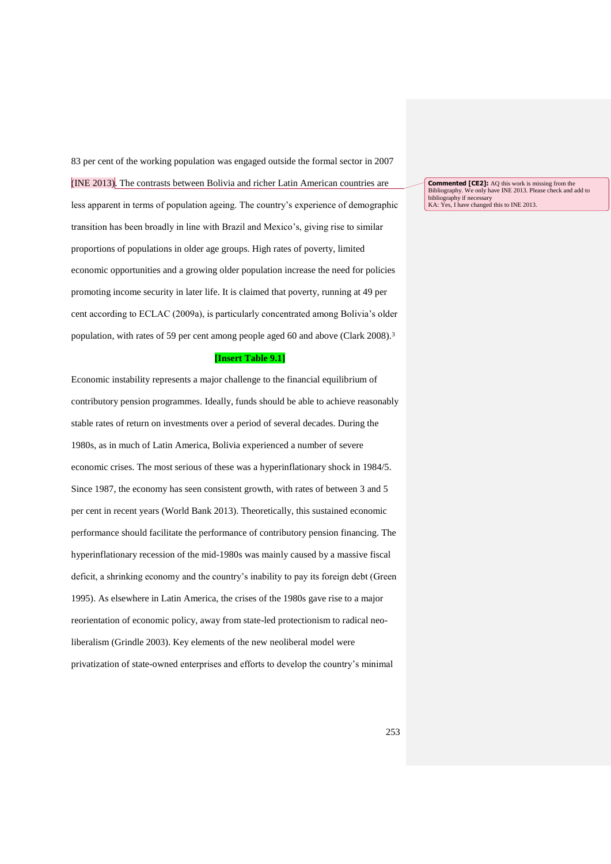83 per cent of the working population was engaged outside the formal sector in 2007 (INE 2013). The contrasts between Bolivia and richer Latin American countries are less apparent in terms of population ageing. The country's experience of demographic transition has been broadly in line with Brazil and Mexico's, giving rise to similar proportions of populations in older age groups. High rates of poverty, limited economic opportunities and a growing older population increase the need for policies promoting income security in later life. It is claimed that poverty, running at 49 per cent according to ECLAC (2009a), is particularly concentrated among Bolivia's older population, with rates of 59 per cent among people aged 60 and above (Clark 2008).<sup>3</sup>

#### **[Insert Table 9.1]**

Economic instability represents a major challenge to the financial equilibrium of contributory pension programmes. Ideally, funds should be able to achieve reasonably stable rates of return on investments over a period of several decades. During the 1980s, as in much of Latin America, Bolivia experienced a number of severe economic crises. The most serious of these was a hyperinflationary shock in 1984/5. Since 1987, the economy has seen consistent growth, with rates of between 3 and 5 per cent in recent years (World Bank 2013). Theoretically, this sustained economic performance should facilitate the performance of contributory pension financing. The hyperinflationary recession of the mid-1980s was mainly caused by a massive fiscal deficit, a shrinking economy and the country's inability to pay its foreign debt (Green 1995). As elsewhere in Latin America, the crises of the 1980s gave rise to a major reorientation of economic policy, away from state-led protectionism to radical neoliberalism (Grindle 2003). Key elements of the new neoliberal model were privatization of state-owned enterprises and efforts to develop the country's minimal

**Commented [CE2]:** AQ this work is missing from the Bibliography. We only have INE 2013. Please check and add to bibliography if necessary<br>bibliography if necessary<br>KA: Yes, I have changed this to INE 2013.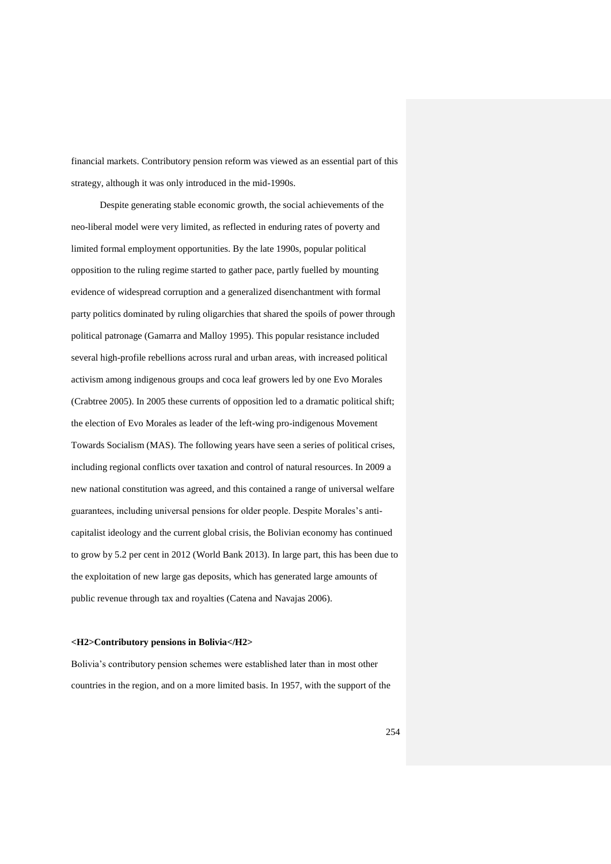financial markets. Contributory pension reform was viewed as an essential part of this strategy, although it was only introduced in the mid-1990s.

Despite generating stable economic growth, the social achievements of the neo-liberal model were very limited, as reflected in enduring rates of poverty and limited formal employment opportunities. By the late 1990s, popular political opposition to the ruling regime started to gather pace, partly fuelled by mounting evidence of widespread corruption and a generalized disenchantment with formal party politics dominated by ruling oligarchies that shared the spoils of power through political patronage (Gamarra and Malloy 1995). This popular resistance included several high-profile rebellions across rural and urban areas, with increased political activism among indigenous groups and coca leaf growers led by one Evo Morales (Crabtree 2005). In 2005 these currents of opposition led to a dramatic political shift; the election of Evo Morales as leader of the left-wing pro-indigenous Movement Towards Socialism (MAS). The following years have seen a series of political crises, including regional conflicts over taxation and control of natural resources. In 2009 a new national constitution was agreed, and this contained a range of universal welfare guarantees, including universal pensions for older people. Despite Morales's anticapitalist ideology and the current global crisis, the Bolivian economy has continued to grow by 5.2 per cent in 2012 (World Bank 2013). In large part, this has been due to the exploitation of new large gas deposits, which has generated large amounts of public revenue through tax and royalties (Catena and Navajas 2006).

#### **<H2>Contributory pensions in Bolivia</H2>**

Bolivia's contributory pension schemes were established later than in most other countries in the region, and on a more limited basis. In 1957, with the support of the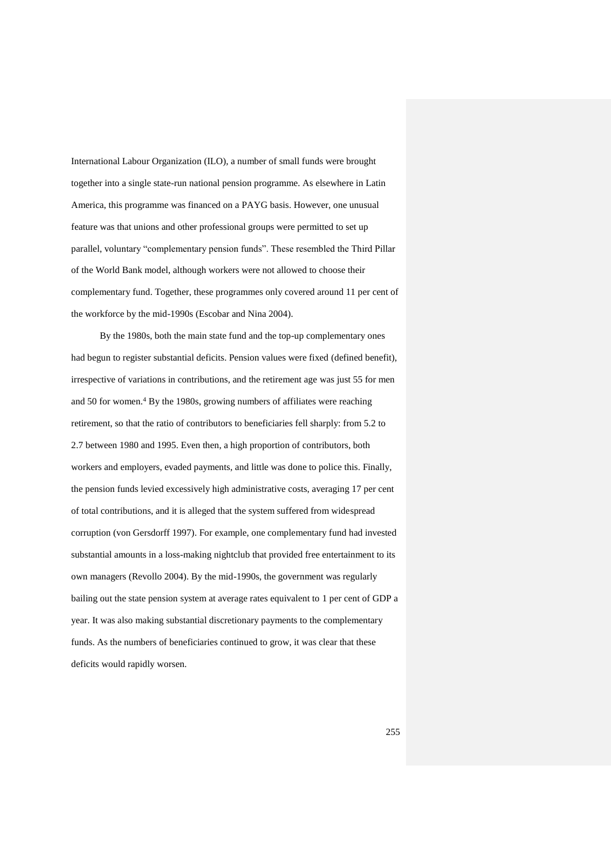International Labour Organization (ILO), a number of small funds were brought together into a single state-run national pension programme. As elsewhere in Latin America, this programme was financed on a PAYG basis. However, one unusual feature was that unions and other professional groups were permitted to set up parallel, voluntary "complementary pension funds". These resembled the Third Pillar of the World Bank model, although workers were not allowed to choose their complementary fund. Together, these programmes only covered around 11 per cent of the workforce by the mid-1990s (Escobar and Nina 2004).

By the 1980s, both the main state fund and the top-up complementary ones had begun to register substantial deficits. Pension values were fixed (defined benefit), irrespective of variations in contributions, and the retirement age was just 55 for men and 50 for women.<sup>4</sup> By the 1980s, growing numbers of affiliates were reaching retirement, so that the ratio of contributors to beneficiaries fell sharply: from 5.2 to 2.7 between 1980 and 1995. Even then, a high proportion of contributors, both workers and employers, evaded payments, and little was done to police this. Finally, the pension funds levied excessively high administrative costs, averaging 17 per cent of total contributions, and it is alleged that the system suffered from widespread corruption (von Gersdorff 1997). For example, one complementary fund had invested substantial amounts in a loss-making nightclub that provided free entertainment to its own managers (Revollo 2004). By the mid-1990s, the government was regularly bailing out the state pension system at average rates equivalent to 1 per cent of GDP a year. It was also making substantial discretionary payments to the complementary funds. As the numbers of beneficiaries continued to grow, it was clear that these deficits would rapidly worsen.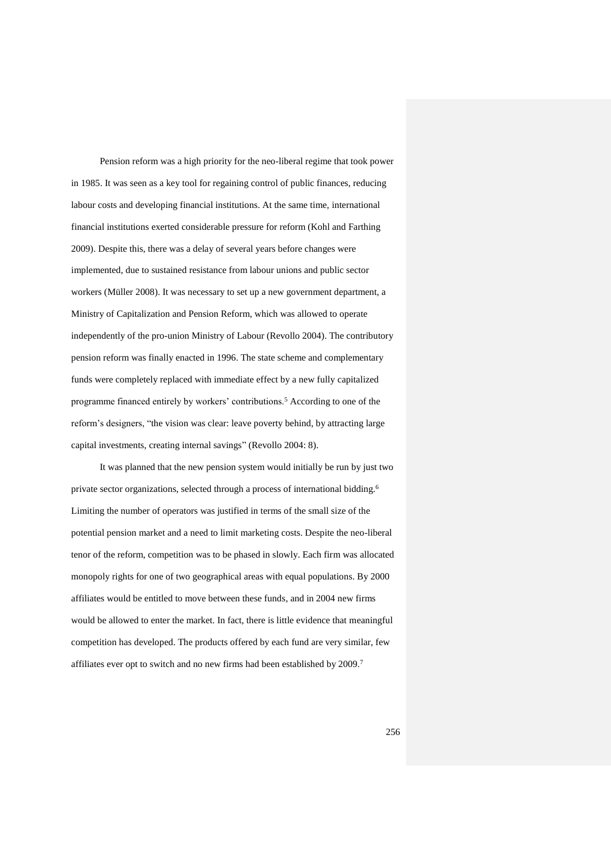Pension reform was a high priority for the neo-liberal regime that took power in 1985. It was seen as a key tool for regaining control of public finances, reducing labour costs and developing financial institutions. At the same time, international financial institutions exerted considerable pressure for reform (Kohl and Farthing 2009). Despite this, there was a delay of several years before changes were implemented, due to sustained resistance from labour unions and public sector workers (Müller 2008). It was necessary to set up a new government department, a Ministry of Capitalization and Pension Reform, which was allowed to operate independently of the pro-union Ministry of Labour (Revollo 2004). The contributory pension reform was finally enacted in 1996. The state scheme and complementary funds were completely replaced with immediate effect by a new fully capitalized programme financed entirely by workers' contributions.<sup>5</sup> According to one of the reform's designers, "the vision was clear: leave poverty behind, by attracting large capital investments, creating internal savings" (Revollo 2004: 8).

It was planned that the new pension system would initially be run by just two private sector organizations, selected through a process of international bidding.<sup>6</sup> Limiting the number of operators was justified in terms of the small size of the potential pension market and a need to limit marketing costs. Despite the neo-liberal tenor of the reform, competition was to be phased in slowly. Each firm was allocated monopoly rights for one of two geographical areas with equal populations. By 2000 affiliates would be entitled to move between these funds, and in 2004 new firms would be allowed to enter the market. In fact, there is little evidence that meaningful competition has developed. The products offered by each fund are very similar, few affiliates ever opt to switch and no new firms had been established by 2009.7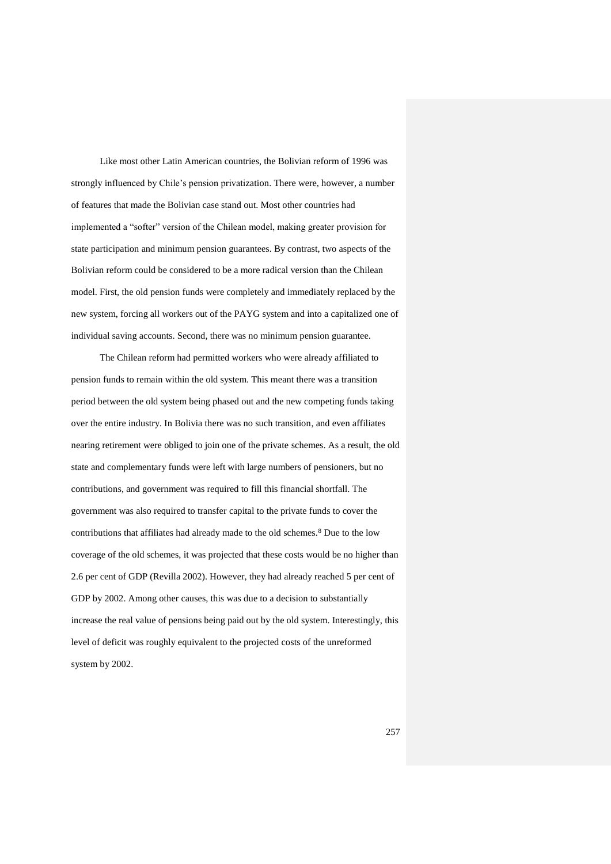Like most other Latin American countries, the Bolivian reform of 1996 was strongly influenced by Chile's pension privatization. There were, however, a number of features that made the Bolivian case stand out. Most other countries had implemented a "softer" version of the Chilean model, making greater provision for state participation and minimum pension guarantees. By contrast, two aspects of the Bolivian reform could be considered to be a more radical version than the Chilean model. First, the old pension funds were completely and immediately replaced by the new system, forcing all workers out of the PAYG system and into a capitalized one of individual saving accounts. Second, there was no minimum pension guarantee.

The Chilean reform had permitted workers who were already affiliated to pension funds to remain within the old system. This meant there was a transition period between the old system being phased out and the new competing funds taking over the entire industry. In Bolivia there was no such transition, and even affiliates nearing retirement were obliged to join one of the private schemes. As a result, the old state and complementary funds were left with large numbers of pensioners, but no contributions, and government was required to fill this financial shortfall. The government was also required to transfer capital to the private funds to cover the contributions that affiliates had already made to the old schemes.<sup>8</sup> Due to the low coverage of the old schemes, it was projected that these costs would be no higher than 2.6 per cent of GDP (Revilla 2002). However, they had already reached 5 per cent of GDP by 2002. Among other causes, this was due to a decision to substantially increase the real value of pensions being paid out by the old system. Interestingly, this level of deficit was roughly equivalent to the projected costs of the unreformed system by 2002.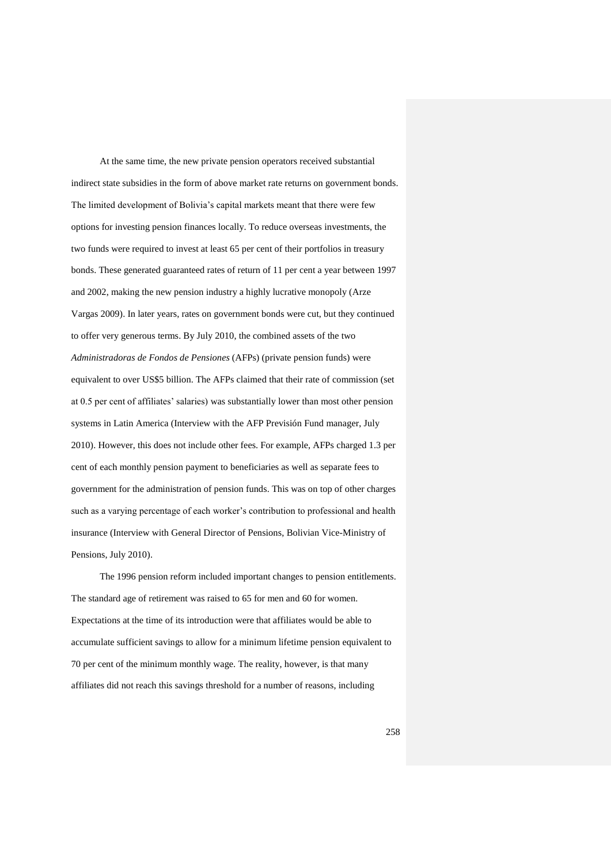At the same time, the new private pension operators received substantial indirect state subsidies in the form of above market rate returns on government bonds. The limited development of Bolivia's capital markets meant that there were few options for investing pension finances locally. To reduce overseas investments, the two funds were required to invest at least 65 per cent of their portfolios in treasury bonds. These generated guaranteed rates of return of 11 per cent a year between 1997 and 2002, making the new pension industry a highly lucrative monopoly (Arze Vargas 2009). In later years, rates on government bonds were cut, but they continued to offer very generous terms. By July 2010, the combined assets of the two *Administradoras de Fondos de Pensiones* (AFPs) (private pension funds) were equivalent to over US\$5 billion. The AFPs claimed that their rate of commission (set at 0.5 per cent of affiliates' salaries) was substantially lower than most other pension systems in Latin America (Interview with the AFP Previsión Fund manager, July 2010). However, this does not include other fees. For example, AFPs charged 1.3 per cent of each monthly pension payment to beneficiaries as well as separate fees to government for the administration of pension funds. This was on top of other charges such as a varying percentage of each worker's contribution to professional and health insurance (Interview with General Director of Pensions, Bolivian Vice-Ministry of Pensions, July 2010).

The 1996 pension reform included important changes to pension entitlements. The standard age of retirement was raised to 65 for men and 60 for women. Expectations at the time of its introduction were that affiliates would be able to accumulate sufficient savings to allow for a minimum lifetime pension equivalent to 70 per cent of the minimum monthly wage. The reality, however, is that many affiliates did not reach this savings threshold for a number of reasons, including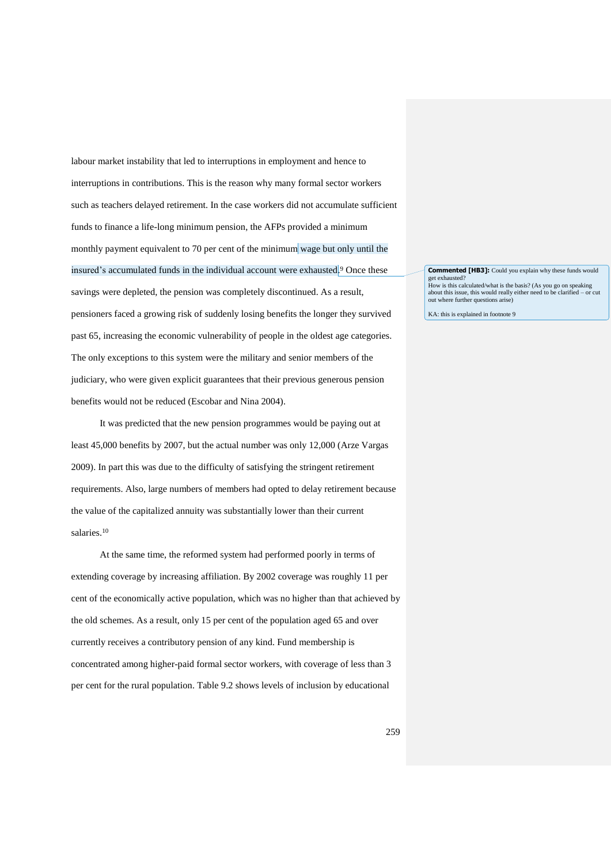labour market instability that led to interruptions in employment and hence to interruptions in contributions. This is the reason why many formal sector workers such as teachers delayed retirement. In the case workers did not accumulate sufficient funds to finance a life-long minimum pension, the AFPs provided a minimum monthly payment equivalent to 70 per cent of the minimum wage but only until the insured's accumulated funds in the individual account were exhausted. <sup>9</sup> Once these savings were depleted, the pension was completely discontinued. As a result, pensioners faced a growing risk of suddenly losing benefits the longer they survived past 65, increasing the economic vulnerability of people in the oldest age categories. The only exceptions to this system were the military and senior members of the judiciary, who were given explicit guarantees that their previous generous pension benefits would not be reduced (Escobar and Nina 2004).

It was predicted that the new pension programmes would be paying out at least 45,000 benefits by 2007, but the actual number was only 12,000 (Arze Vargas 2009). In part this was due to the difficulty of satisfying the stringent retirement requirements. Also, large numbers of members had opted to delay retirement because the value of the capitalized annuity was substantially lower than their current salaries.<sup>10</sup>

At the same time, the reformed system had performed poorly in terms of extending coverage by increasing affiliation. By 2002 coverage was roughly 11 per cent of the economically active population, which was no higher than that achieved by the old schemes. As a result, only 15 per cent of the population aged 65 and over currently receives a contributory pension of any kind. Fund membership is concentrated among higher-paid formal sector workers, with coverage of less than 3 per cent for the rural population. Table 9.2 shows levels of inclusion by educational

**Commented [HB3]:** Could you explain why these funds would get exhausted? How is this calculated/what is the basis? (As you go on speaking about this issue, this would really either need to be clarified – or cut out where further questions arise)

KA: this is explained in footnote 9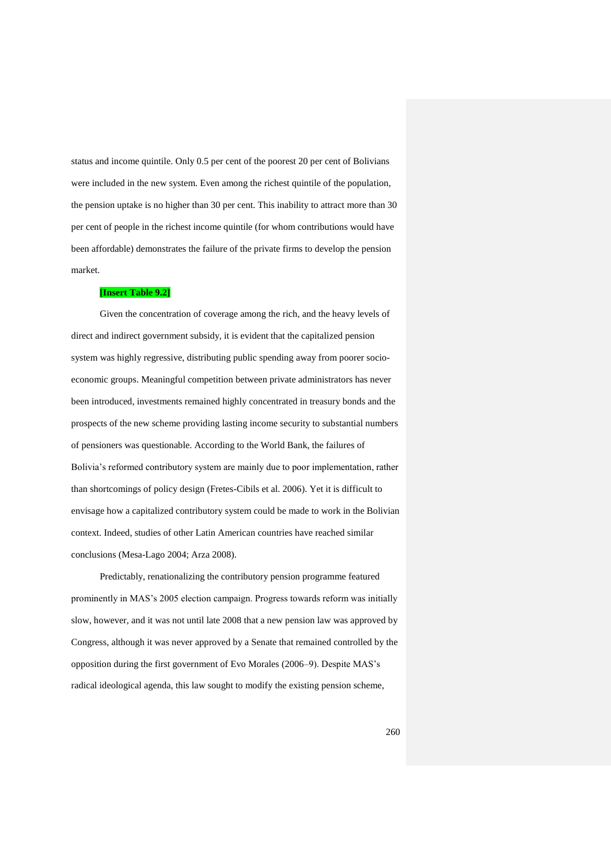status and income quintile. Only 0.5 per cent of the poorest 20 per cent of Bolivians were included in the new system. Even among the richest quintile of the population, the pension uptake is no higher than 30 per cent. This inability to attract more than 30 per cent of people in the richest income quintile (for whom contributions would have been affordable) demonstrates the failure of the private firms to develop the pension market.

### **[Insert Table 9.2]**

Given the concentration of coverage among the rich, and the heavy levels of direct and indirect government subsidy, it is evident that the capitalized pension system was highly regressive, distributing public spending away from poorer socioeconomic groups. Meaningful competition between private administrators has never been introduced, investments remained highly concentrated in treasury bonds and the prospects of the new scheme providing lasting income security to substantial numbers of pensioners was questionable. According to the World Bank, the failures of Bolivia's reformed contributory system are mainly due to poor implementation, rather than shortcomings of policy design (Fretes-Cibils et al. 2006). Yet it is difficult to envisage how a capitalized contributory system could be made to work in the Bolivian context. Indeed, studies of other Latin American countries have reached similar conclusions (Mesa-Lago 2004; Arza 2008).

Predictably, renationalizing the contributory pension programme featured prominently in MAS's 2005 election campaign. Progress towards reform was initially slow, however, and it was not until late 2008 that a new pension law was approved by Congress, although it was never approved by a Senate that remained controlled by the opposition during the first government of Evo Morales (2006–9). Despite MAS's radical ideological agenda, this law sought to modify the existing pension scheme,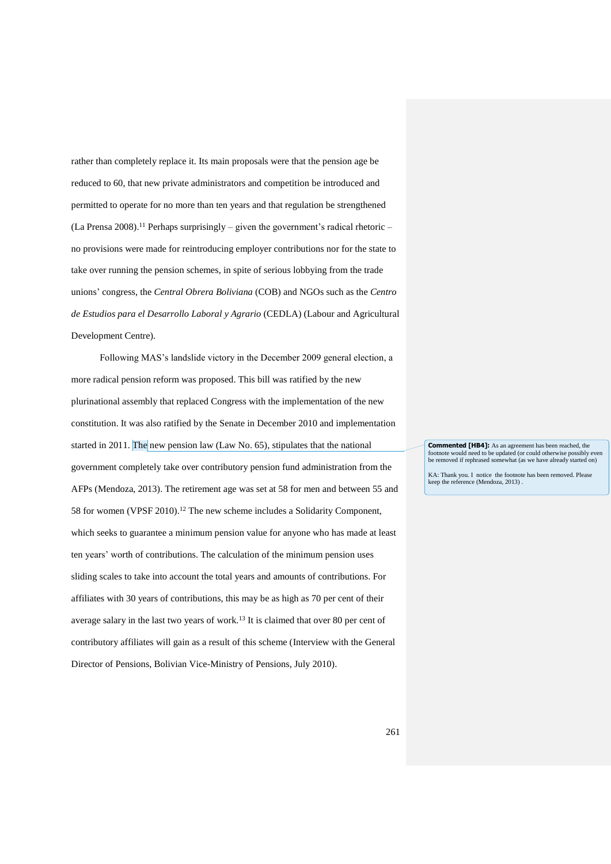rather than completely replace it. Its main proposals were that the pension age be reduced to 60, that new private administrators and competition be introduced and permitted to operate for no more than ten years and that regulation be strengthened  $(La$  Prensa 2008).<sup>11</sup> Perhaps surprisingly – given the government's radical rhetoric – no provisions were made for reintroducing employer contributions nor for the state to take over running the pension schemes, in spite of serious lobbying from the trade unions' congress, the *Central Obrera Boliviana* (COB) and NGOs such as the *Centro de Estudios para el Desarrollo Laboral y Agrario* (CEDLA) (Labour and Agricultural Development Centre).

Following MAS's landslide victory in the December 2009 general election, a more radical pension reform was proposed. This bill was ratified by the new plurinational assembly that replaced Congress with the implementation of the new constitution. It was also ratified by the Senate in December 2010 and implementation started in 2011. The new pension law (Law No. 65), stipulates that the national government completely take over contributory pension fund administration from the AFPs (Mendoza, 2013). The retirement age was set at 58 for men and between 55 and 58 for women (VPSF 2010).<sup>12</sup> The new scheme includes a Solidarity Component, which seeks to guarantee a minimum pension value for anyone who has made at least ten years' worth of contributions. The calculation of the minimum pension uses sliding scales to take into account the total years and amounts of contributions. For affiliates with 30 years of contributions, this may be as high as 70 per cent of their average salary in the last two years of work.<sup>13</sup> It is claimed that over 80 per cent of contributory affiliates will gain as a result of this scheme (Interview with the General Director of Pensions, Bolivian Vice-Ministry of Pensions, July 2010).

**Commented [HB4]:** As an agreement has been reached, the footnote would need to be updated (or could otherwise possibly even be removed if rephrased somewhat (as we have already started on)

KA: Thank you. I notice the footnote has been removed. Please keep the reference (Mendoza, 2013) .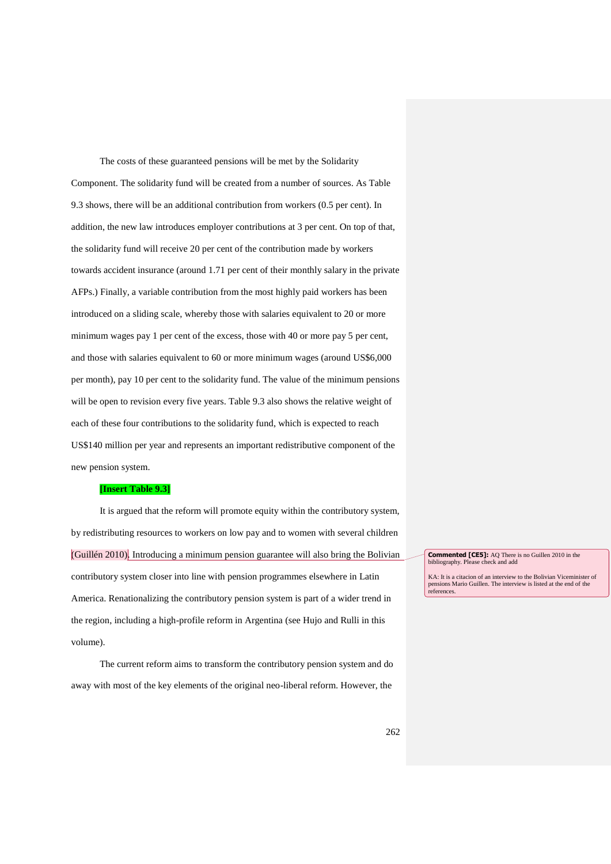The costs of these guaranteed pensions will be met by the Solidarity Component. The solidarity fund will be created from a number of sources. As Table 9.3 shows, there will be an additional contribution from workers (0.5 per cent). In addition, the new law introduces employer contributions at 3 per cent. On top of that, the solidarity fund will receive 20 per cent of the contribution made by workers towards accident insurance (around 1.71 per cent of their monthly salary in the private AFPs.) Finally, a variable contribution from the most highly paid workers has been introduced on a sliding scale, whereby those with salaries equivalent to 20 or more minimum wages pay 1 per cent of the excess, those with 40 or more pay 5 per cent, and those with salaries equivalent to 60 or more minimum wages (around US\$6,000 per month), pay 10 per cent to the solidarity fund. The value of the minimum pensions will be open to revision every five years. Table 9.3 also shows the relative weight of each of these four contributions to the solidarity fund, which is expected to reach US\$140 million per year and represents an important redistributive component of the new pension system.

## **[Insert Table 9.3]**

It is argued that the reform will promote equity within the contributory system, by redistributing resources to workers on low pay and to women with several children (Guillén 2010). Introducing a minimum pension guarantee will also bring the Bolivian contributory system closer into line with pension programmes elsewhere in Latin America. Renationalizing the contributory pension system is part of a wider trend in the region, including a high-profile reform in Argentina (see Hujo and Rulli in this volume).

The current reform aims to transform the contributory pension system and do away with most of the key elements of the original neo-liberal reform. However, the

**Commented [CE5]:** AQ There is no Guillen 2010 in the bibliography. Please check and add

KA: It is a citacion of an interview to the Bolivian Viceminister of pensions Mario Guillen. The interview is listed at the end of the references.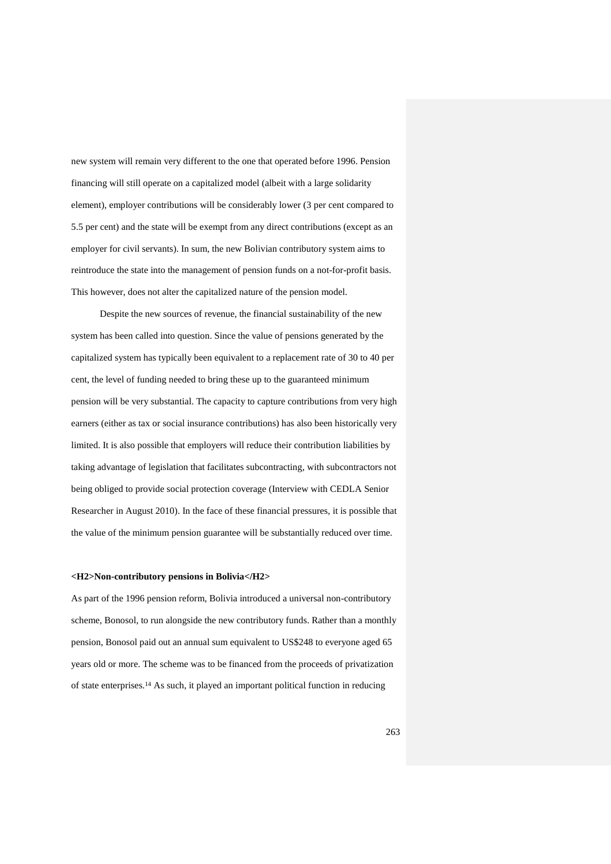new system will remain very different to the one that operated before 1996. Pension financing will still operate on a capitalized model (albeit with a large solidarity element), employer contributions will be considerably lower (3 per cent compared to 5.5 per cent) and the state will be exempt from any direct contributions (except as an employer for civil servants). In sum, the new Bolivian contributory system aims to reintroduce the state into the management of pension funds on a not-for-profit basis. This however, does not alter the capitalized nature of the pension model.

Despite the new sources of revenue, the financial sustainability of the new system has been called into question. Since the value of pensions generated by the capitalized system has typically been equivalent to a replacement rate of 30 to 40 per cent, the level of funding needed to bring these up to the guaranteed minimum pension will be very substantial. The capacity to capture contributions from very high earners (either as tax or social insurance contributions) has also been historically very limited. It is also possible that employers will reduce their contribution liabilities by taking advantage of legislation that facilitates subcontracting, with subcontractors not being obliged to provide social protection coverage (Interview with CEDLA Senior Researcher in August 2010). In the face of these financial pressures, it is possible that the value of the minimum pension guarantee will be substantially reduced over time.

## **<H2>Non-contributory pensions in Bolivia</H2>**

As part of the 1996 pension reform, Bolivia introduced a universal non-contributory scheme, Bonosol, to run alongside the new contributory funds. Rather than a monthly pension, Bonosol paid out an annual sum equivalent to US\$248 to everyone aged 65 years old or more. The scheme was to be financed from the proceeds of privatization of state enterprises.<sup>14</sup> As such, it played an important political function in reducing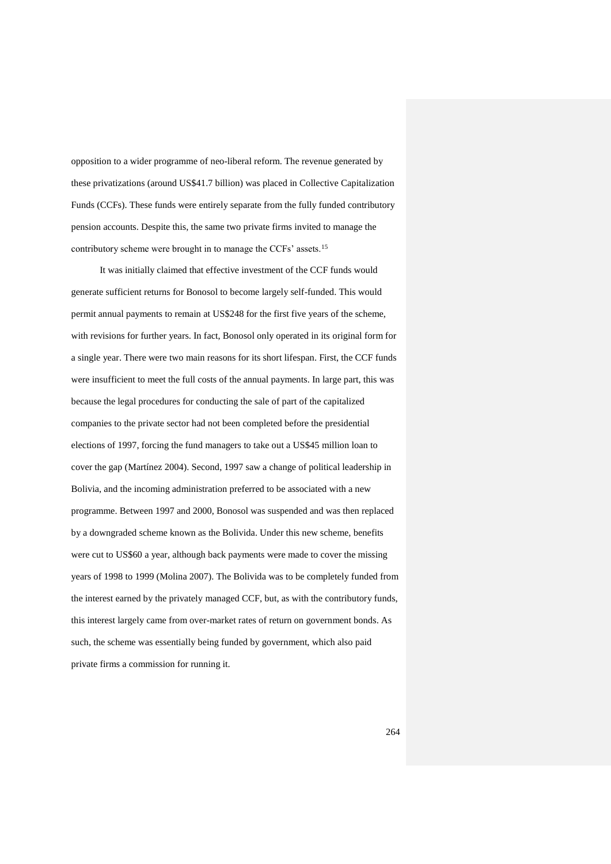opposition to a wider programme of neo-liberal reform. The revenue generated by these privatizations (around US\$41.7 billion) was placed in Collective Capitalization Funds (CCFs). These funds were entirely separate from the fully funded contributory pension accounts. Despite this, the same two private firms invited to manage the contributory scheme were brought in to manage the CCFs' assets.<sup>15</sup>

It was initially claimed that effective investment of the CCF funds would generate sufficient returns for Bonosol to become largely self-funded. This would permit annual payments to remain at US\$248 for the first five years of the scheme, with revisions for further years. In fact, Bonosol only operated in its original form for a single year. There were two main reasons for its short lifespan. First, the CCF funds were insufficient to meet the full costs of the annual payments. In large part, this was because the legal procedures for conducting the sale of part of the capitalized companies to the private sector had not been completed before the presidential elections of 1997, forcing the fund managers to take out a US\$45 million loan to cover the gap (Martínez 2004). Second, 1997 saw a change of political leadership in Bolivia, and the incoming administration preferred to be associated with a new programme. Between 1997 and 2000, Bonosol was suspended and was then replaced by a downgraded scheme known as the Bolivida. Under this new scheme, benefits were cut to US\$60 a year, although back payments were made to cover the missing years of 1998 to 1999 (Molina 2007). The Bolivida was to be completely funded from the interest earned by the privately managed CCF, but, as with the contributory funds, this interest largely came from over-market rates of return on government bonds. As such, the scheme was essentially being funded by government, which also paid private firms a commission for running it.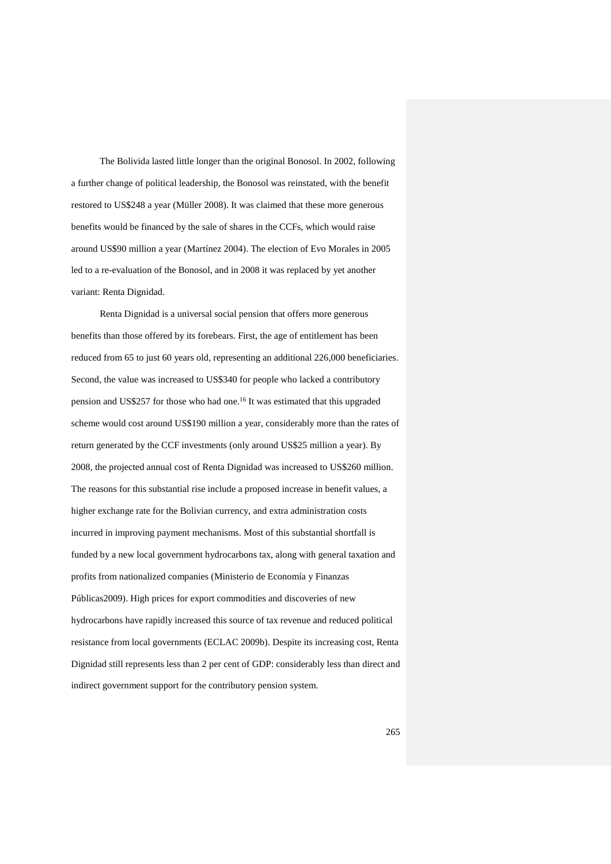The Bolivida lasted little longer than the original Bonosol. In 2002, following a further change of political leadership, the Bonosol was reinstated, with the benefit restored to US\$248 a year (Müller 2008). It was claimed that these more generous benefits would be financed by the sale of shares in the CCFs, which would raise around US\$90 million a year (Martínez 2004). The election of Evo Morales in 2005 led to a re-evaluation of the Bonosol, and in 2008 it was replaced by yet another variant: Renta Dignidad.

Renta Dignidad is a universal social pension that offers more generous benefits than those offered by its forebears. First, the age of entitlement has been reduced from 65 to just 60 years old, representing an additional 226,000 beneficiaries. Second, the value was increased to US\$340 for people who lacked a contributory pension and US\$257 for those who had one.<sup>16</sup> It was estimated that this upgraded scheme would cost around US\$190 million a year, considerably more than the rates of return generated by the CCF investments (only around US\$25 million a year). By 2008, the projected annual cost of Renta Dignidad was increased to US\$260 million. The reasons for this substantial rise include a proposed increase in benefit values, a higher exchange rate for the Bolivian currency, and extra administration costs incurred in improving payment mechanisms. Most of this substantial shortfall is funded by a new local government hydrocarbons tax, along with general taxation and profits from nationalized companies (Ministerio de Economía y Finanzas Públicas2009). High prices for export commodities and discoveries of new hydrocarbons have rapidly increased this source of tax revenue and reduced political resistance from local governments (ECLAC 2009b). Despite its increasing cost, Renta Dignidad still represents less than 2 per cent of GDP: considerably less than direct and indirect government support for the contributory pension system.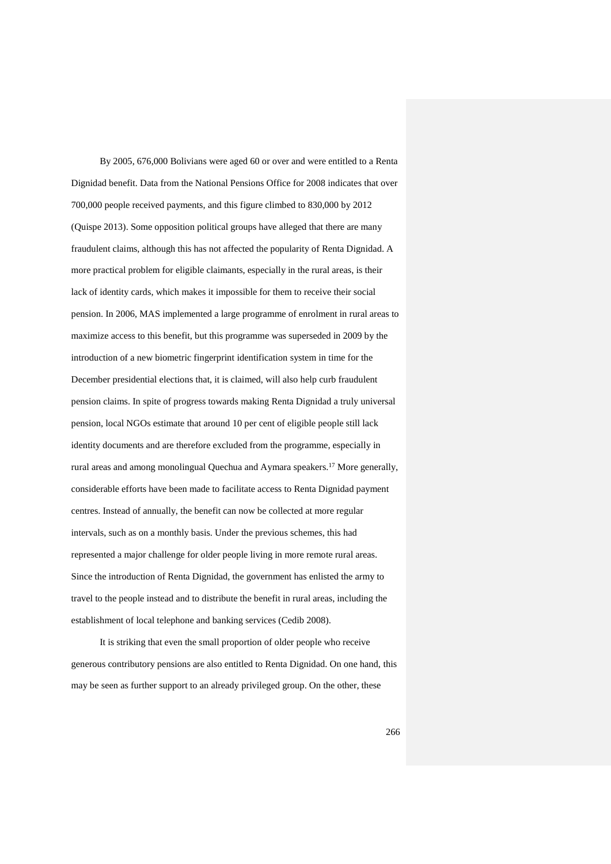By 2005, 676,000 Bolivians were aged 60 or over and were entitled to a Renta Dignidad benefit. Data from the National Pensions Office for 2008 indicates that over 700,000 people received payments, and this figure climbed to 830,000 by 2012 (Quispe 2013). Some opposition political groups have alleged that there are many fraudulent claims, although this has not affected the popularity of Renta Dignidad. A more practical problem for eligible claimants, especially in the rural areas, is their lack of identity cards, which makes it impossible for them to receive their social pension. In 2006, MAS implemented a large programme of enrolment in rural areas to maximize access to this benefit, but this programme was superseded in 2009 by the introduction of a new biometric fingerprint identification system in time for the December presidential elections that, it is claimed, will also help curb fraudulent pension claims. In spite of progress towards making Renta Dignidad a truly universal pension, local NGOs estimate that around 10 per cent of eligible people still lack identity documents and are therefore excluded from the programme, especially in rural areas and among monolingual Quechua and Aymara speakers.<sup>17</sup> More generally, considerable efforts have been made to facilitate access to Renta Dignidad payment centres. Instead of annually, the benefit can now be collected at more regular intervals, such as on a monthly basis. Under the previous schemes, this had represented a major challenge for older people living in more remote rural areas. Since the introduction of Renta Dignidad, the government has enlisted the army to travel to the people instead and to distribute the benefit in rural areas, including the establishment of local telephone and banking services (Cedib 2008).

It is striking that even the small proportion of older people who receive generous contributory pensions are also entitled to Renta Dignidad. On one hand, this may be seen as further support to an already privileged group. On the other, these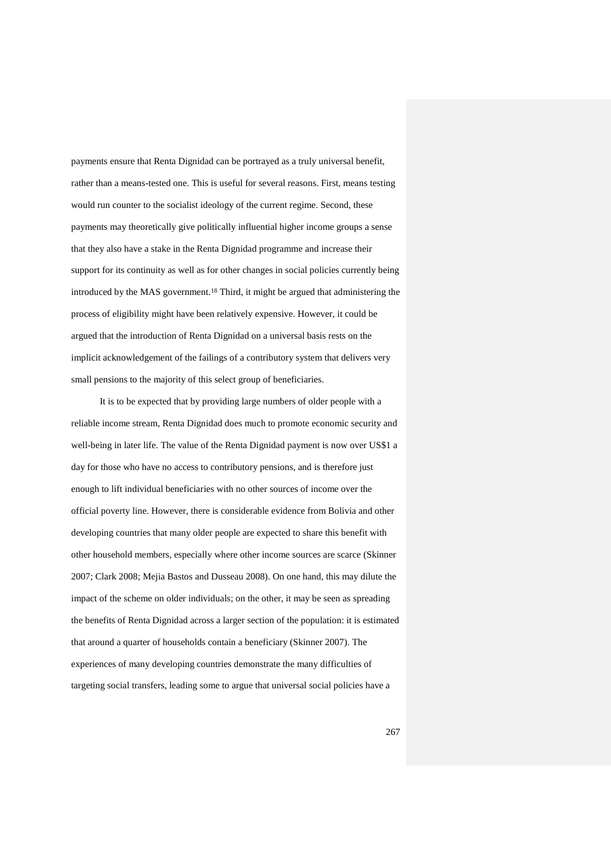payments ensure that Renta Dignidad can be portrayed as a truly universal benefit, rather than a means-tested one. This is useful for several reasons. First, means testing would run counter to the socialist ideology of the current regime. Second, these payments may theoretically give politically influential higher income groups a sense that they also have a stake in the Renta Dignidad programme and increase their support for its continuity as well as for other changes in social policies currently being introduced by the MAS government.<sup>18</sup> Third, it might be argued that administering the process of eligibility might have been relatively expensive. However, it could be argued that the introduction of Renta Dignidad on a universal basis rests on the implicit acknowledgement of the failings of a contributory system that delivers very small pensions to the majority of this select group of beneficiaries.

It is to be expected that by providing large numbers of older people with a reliable income stream, Renta Dignidad does much to promote economic security and well-being in later life. The value of the Renta Dignidad payment is now over US\$1 a day for those who have no access to contributory pensions, and is therefore just enough to lift individual beneficiaries with no other sources of income over the official poverty line. However, there is considerable evidence from Bolivia and other developing countries that many older people are expected to share this benefit with other household members, especially where other income sources are scarce (Skinner 2007; Clark 2008; Mejia Bastos and Dusseau 2008). On one hand, this may dilute the impact of the scheme on older individuals; on the other, it may be seen as spreading the benefits of Renta Dignidad across a larger section of the population: it is estimated that around a quarter of households contain a beneficiary (Skinner 2007). The experiences of many developing countries demonstrate the many difficulties of targeting social transfers, leading some to argue that universal social policies have a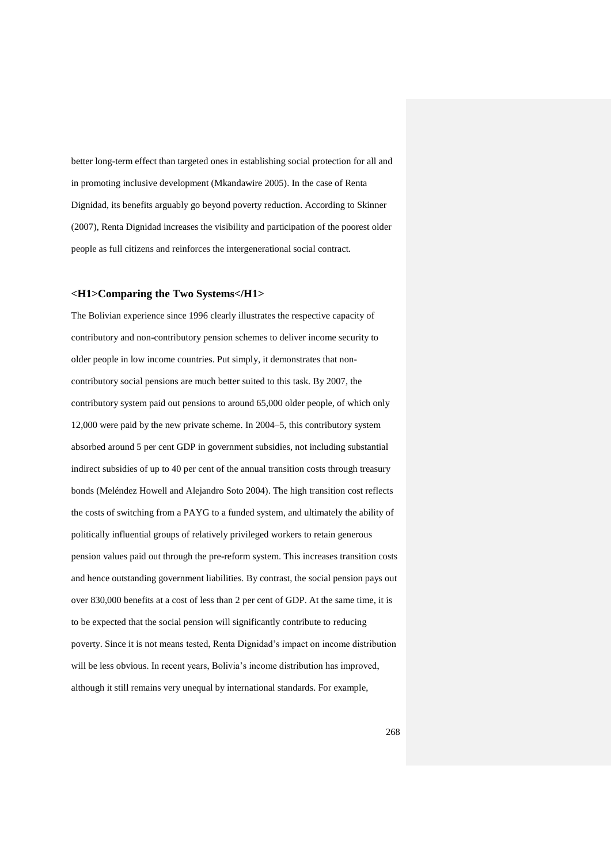better long-term effect than targeted ones in establishing social protection for all and in promoting inclusive development (Mkandawire 2005). In the case of Renta Dignidad, its benefits arguably go beyond poverty reduction. According to Skinner (2007), Renta Dignidad increases the visibility and participation of the poorest older people as full citizens and reinforces the intergenerational social contract.

## **<H1>Comparing the Two Systems</H1>**

The Bolivian experience since 1996 clearly illustrates the respective capacity of contributory and non-contributory pension schemes to deliver income security to older people in low income countries. Put simply, it demonstrates that noncontributory social pensions are much better suited to this task. By 2007, the contributory system paid out pensions to around 65,000 older people, of which only 12,000 were paid by the new private scheme. In 2004–5, this contributory system absorbed around 5 per cent GDP in government subsidies, not including substantial indirect subsidies of up to 40 per cent of the annual transition costs through treasury bonds (Meléndez Howell and Alejandro Soto 2004). The high transition cost reflects the costs of switching from a PAYG to a funded system, and ultimately the ability of politically influential groups of relatively privileged workers to retain generous pension values paid out through the pre-reform system. This increases transition costs and hence outstanding government liabilities. By contrast, the social pension pays out over 830,000 benefits at a cost of less than 2 per cent of GDP. At the same time, it is to be expected that the social pension will significantly contribute to reducing poverty. Since it is not means tested, Renta Dignidad's impact on income distribution will be less obvious. In recent years, Bolivia's income distribution has improved, although it still remains very unequal by international standards. For example,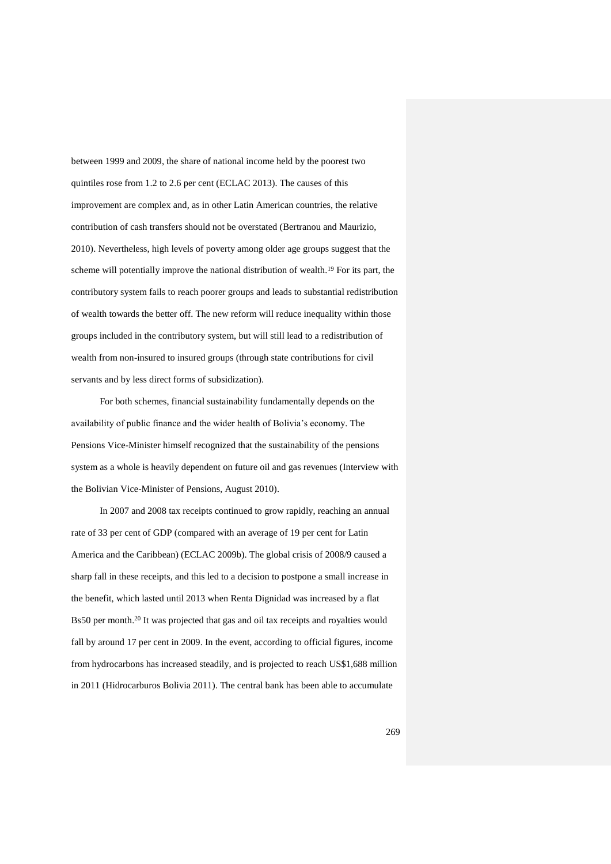between 1999 and 2009, the share of national income held by the poorest two quintiles rose from 1.2 to 2.6 per cent (ECLAC 2013). The causes of this improvement are complex and, as in other Latin American countries, the relative contribution of cash transfers should not be overstated (Bertranou and Maurizio, 2010). Nevertheless, high levels of poverty among older age groups suggest that the scheme will potentially improve the national distribution of wealth.<sup>19</sup> For its part, the contributory system fails to reach poorer groups and leads to substantial redistribution of wealth towards the better off. The new reform will reduce inequality within those groups included in the contributory system, but will still lead to a redistribution of wealth from non-insured to insured groups (through state contributions for civil servants and by less direct forms of subsidization).

For both schemes, financial sustainability fundamentally depends on the availability of public finance and the wider health of Bolivia's economy. The Pensions Vice-Minister himself recognized that the sustainability of the pensions system as a whole is heavily dependent on future oil and gas revenues (Interview with the Bolivian Vice-Minister of Pensions, August 2010).

In 2007 and 2008 tax receipts continued to grow rapidly, reaching an annual rate of 33 per cent of GDP (compared with an average of 19 per cent for Latin America and the Caribbean) (ECLAC 2009b). The global crisis of 2008/9 caused a sharp fall in these receipts, and this led to a decision to postpone a small increase in the benefit, which lasted until 2013 when Renta Dignidad was increased by a flat Bs50 per month. <sup>20</sup> It was projected that gas and oil tax receipts and royalties would fall by around 17 per cent in 2009. In the event, according to official figures, income from hydrocarbons has increased steadily, and is projected to reach US\$1,688 million in 2011 (Hidrocarburos Bolivia 2011). The central bank has been able to accumulate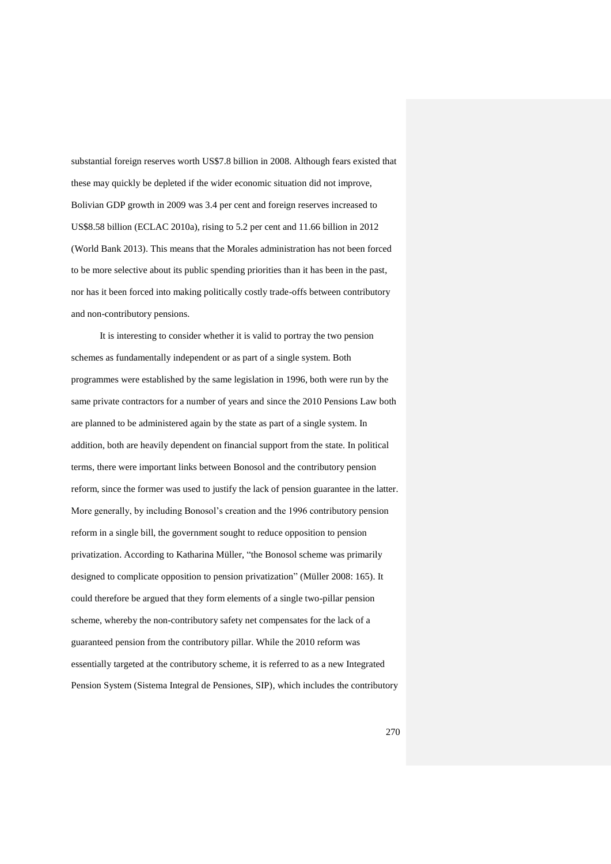substantial foreign reserves worth US\$7.8 billion in 2008. Although fears existed that these may quickly be depleted if the wider economic situation did not improve, Bolivian GDP growth in 2009 was 3.4 per cent and foreign reserves increased to US\$8.58 billion (ECLAC 2010a), rising to 5.2 per cent and 11.66 billion in 2012 (World Bank 2013). This means that the Morales administration has not been forced to be more selective about its public spending priorities than it has been in the past, nor has it been forced into making politically costly trade-offs between contributory and non-contributory pensions.

It is interesting to consider whether it is valid to portray the two pension schemes as fundamentally independent or as part of a single system. Both programmes were established by the same legislation in 1996, both were run by the same private contractors for a number of years and since the 2010 Pensions Law both are planned to be administered again by the state as part of a single system. In addition, both are heavily dependent on financial support from the state. In political terms, there were important links between Bonosol and the contributory pension reform, since the former was used to justify the lack of pension guarantee in the latter. More generally, by including Bonosol's creation and the 1996 contributory pension reform in a single bill, the government sought to reduce opposition to pension privatization. According to Katharina Müller, "the Bonosol scheme was primarily designed to complicate opposition to pension privatization" (Müller 2008: 165). It could therefore be argued that they form elements of a single two-pillar pension scheme, whereby the non-contributory safety net compensates for the lack of a guaranteed pension from the contributory pillar. While the 2010 reform was essentially targeted at the contributory scheme, it is referred to as a new Integrated Pension System (Sistema Integral de Pensiones, SIP), which includes the contributory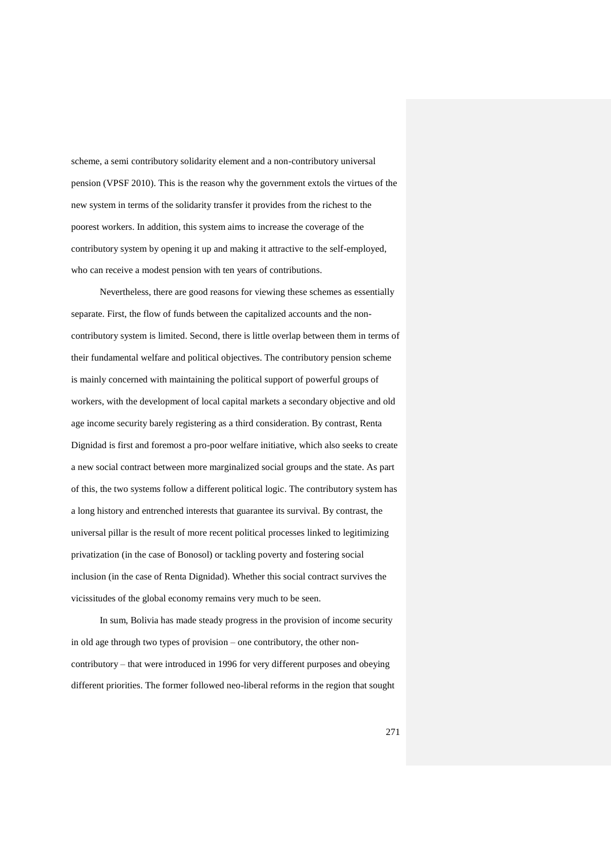scheme, a semi contributory solidarity element and a non-contributory universal pension (VPSF 2010). This is the reason why the government extols the virtues of the new system in terms of the solidarity transfer it provides from the richest to the poorest workers. In addition, this system aims to increase the coverage of the contributory system by opening it up and making it attractive to the self-employed, who can receive a modest pension with ten years of contributions.

Nevertheless, there are good reasons for viewing these schemes as essentially separate. First, the flow of funds between the capitalized accounts and the noncontributory system is limited. Second, there is little overlap between them in terms of their fundamental welfare and political objectives. The contributory pension scheme is mainly concerned with maintaining the political support of powerful groups of workers, with the development of local capital markets a secondary objective and old age income security barely registering as a third consideration. By contrast, Renta Dignidad is first and foremost a pro-poor welfare initiative, which also seeks to create a new social contract between more marginalized social groups and the state. As part of this, the two systems follow a different political logic. The contributory system has a long history and entrenched interests that guarantee its survival. By contrast, the universal pillar is the result of more recent political processes linked to legitimizing privatization (in the case of Bonosol) or tackling poverty and fostering social inclusion (in the case of Renta Dignidad). Whether this social contract survives the vicissitudes of the global economy remains very much to be seen.

In sum, Bolivia has made steady progress in the provision of income security in old age through two types of provision – one contributory, the other noncontributory – that were introduced in 1996 for very different purposes and obeying different priorities. The former followed neo-liberal reforms in the region that sought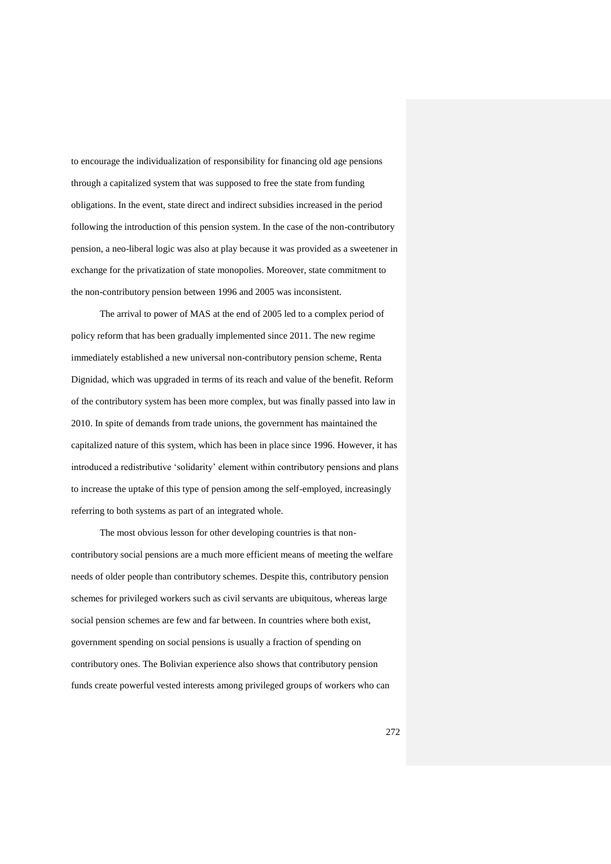to encourage the individualization of responsibility for financing old age pensions through a capitalized system that was supposed to free the state from funding obligations. In the event, state direct and indirect subsidies increased in the period following the introduction of this pension system. In the case of the non-contributory pension, a neo-liberal logic was also at play because it was provided as a sweetener in exchange for the privatization of state monopolies. Moreover, state commitment to the non-contributory pension between 1996 and 2005 was inconsistent.

The arrival to power of MAS at the end of 2005 led to a complex period of policy reform that has been gradually implemented since 2011. The new regime immediately established a new universal non-contributory pension scheme, Renta Dignidad, which was upgraded in terms of its reach and value of the benefit. Reform of the contributory system has been more complex, but was finally passed into law in 2010. In spite of demands from trade unions, the government has maintained the capitalized nature of this system, which has been in place since 1996. However, it has introduced a redistributive 'solidarity' element within contributory pensions and plans to increase the uptake of this type of pension among the self-employed, increasingly referring to both systems as part of an integrated whole.

The most obvious lesson for other developing countries is that noncontributory social pensions are a much more efficient means of meeting the welfare needs of older people than contributory schemes. Despite this, contributory pension schemes for privileged workers such as civil servants are ubiquitous, whereas large social pension schemes are few and far between. In countries where both exist, government spending on social pensions is usually a fraction of spending on contributory ones. The Bolivian experience also shows that contributory pension funds create powerful vested interests among privileged groups of workers who can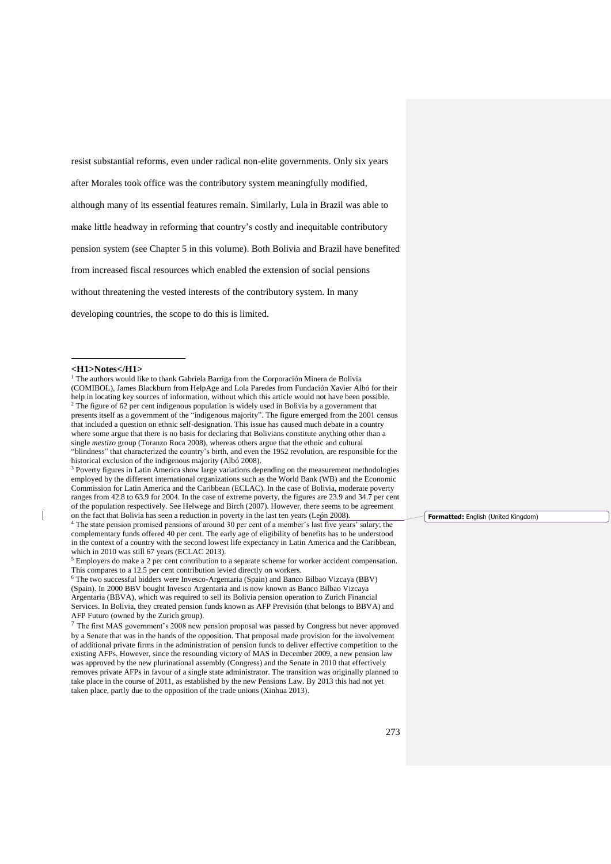resist substantial reforms, even under radical non-elite governments. Only six years

after Morales took office was the contributory system meaningfully modified,

although many of its essential features remain. Similarly, Lula in Brazil was able to

make little headway in reforming that country's costly and inequitable contributory

pension system (see Chapter 5 in this volume). Both Bolivia and Brazil have benefited

from increased fiscal resources which enabled the extension of social pensions

without threatening the vested interests of the contributory system. In many

developing countries, the scope to do this is limited.

#### **<H1>Notes</H1>**

l

<sup>1</sup> The authors would like to thank Gabriela Barriga from the Corporación Minera de Bolivia (COMIBOL), James Blackburn from HelpAge and Lola Paredes from Fundación Xavier Albó for their help in locating key sources of information, without which this article would not have been possible. <sup>2</sup> The figure of 62 per cent indigenous population is widely used in Bolivia by a government that presents itself as a government of the "indigenous majority". The figure emerged from the 2001 census that included a question on ethnic self-designation. This issue has caused much debate in a country where some argue that there is no basis for declaring that Bolivians constitute anything other than a single *mestizo* group (Toranzo Roca 2008), whereas others argue that the ethnic and cultural "blindness" that characterized the country's birth, and even the 1952 revolution, are responsible for the historical exclusion of the indigenous majority (Albó 2008).

<sup>3</sup> Poverty figures in Latin America show large variations depending on the measurement methodologies employed by the different international organizations such as the World Bank (WB) and the Economic Commission for Latin America and the Caribbean (ECLAC). In the case of Bolivia, moderate poverty ranges from 42.8 to 63.9 for 2004. In the case of extreme poverty, the figures are 23.9 and 34.7 per cent of the population respectively. See Helwege and Birch (2007). However, there seems to be agreement on the fact that Bolivia has seen a reduction in poverty in the last ten years (León 2008).

<sup>4</sup> The state pension promised pensions of around 30 per cent of a member's last five years' salary; the complementary funds offered 40 per cent. The early age of eligibility of benefits has to be understood in the context of a country with the second lowest life expectancy in Latin America and the Caribbean, which in 2010 was still 67 years (ECLAC 2013).

<sup>5</sup> Employers do make a 2 per cent contribution to a separate scheme for worker accident compensation. This compares to a 12.5 per cent contribution levied directly on workers.

<sup>6</sup> The two successful bidders were Invesco-Argentaria (Spain) and Banco Bilbao Vizcaya (BBV) (Spain). In 2000 BBV bought Invesco Argentaria and is now known as Banco Bilbao Vizcaya Argentaria (BBVA), which was required to sell its Bolivia pension operation to Zurich Financial Services. In Bolivia, they created pension funds known as AFP Previsión (that belongs to BBVA) and AFP Futuro (owned by the Zurich group).

<sup>7</sup> The first MAS government's 2008 new pension proposal was passed by Congress but never approved by a Senate that was in the hands of the opposition. That proposal made provision for the involvement of additional private firms in the administration of pension funds to deliver effective competition to the existing AFPs. However, since the resounding victory of MAS in December 2009, a new pension law was approved by the new plurinational assembly (Congress) and the Senate in 2010 that effectively removes private AFPs in favour of a single state administrator. The transition was originally planned to take place in the course of 2011, as established by the new Pensions Law. By 2013 this had not yet taken place, partly due to the opposition of the trade unions (Xinhua 2013).

**Formatted:** English (United Kingdom)